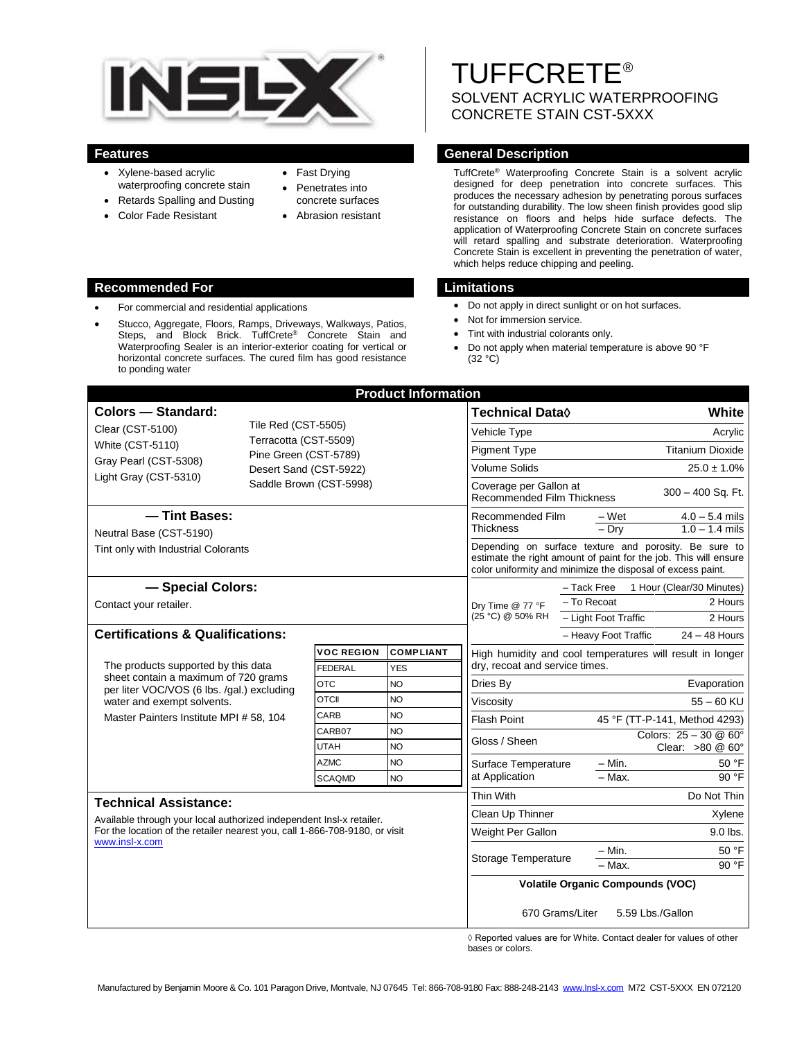

- Xylene-based acrylic waterproofing concrete stain
- Retards Spalling and Dusting
- Color Fade Resistant
- Fast Drying
- Penetrates into concrete surfaces
- Abrasion resistant

#### **Recommended For Limitations**

- For commercial and residential applications
- Stucco, Aggregate, Floors, Ramps, Driveways, Walkways, Patios, Steps, and Block Brick. TuffCrete<sup>®</sup> Concrete Stain and Waterproofing Sealer is an interior-exterior coating for vertical or horizontal concrete surfaces. The cured film has good resistance to ponding water

TUFFCRETE® SOLVENT ACRYLIC WATERPROOFING CONCRETE STAIN CST-5XXX

# **Features General Description**

TuffCrete® Waterproofing Concrete Stain is a solvent acrylic designed for deep penetration into concrete surfaces. This produces the necessary adhesion by penetrating porous surfaces for outstanding durability. The low sheen finish provides good slip resistance on floors and helps hide surface defects. The application of Waterproofing Concrete Stain on concrete surfaces will retard spalling and substrate deterioration. Waterproofing Concrete Stain is excellent in preventing the penetration of water, which helps reduce chipping and peeling.

- Do not apply in direct sunlight or on hot surfaces.
- Not for immersion service.
- Tint with industrial colorants only.
- Do not apply when material temperature is above 90 °F (32 °C)

| <b>Product Information</b>                                                                                                |                                                   |                                                |                     |                                                                                                                                                                                          |                                                                   |
|---------------------------------------------------------------------------------------------------------------------------|---------------------------------------------------|------------------------------------------------|---------------------|------------------------------------------------------------------------------------------------------------------------------------------------------------------------------------------|-------------------------------------------------------------------|
| <b>Colors - Standard:</b>                                                                                                 |                                                   |                                                |                     | <b>Technical Data</b> ♦                                                                                                                                                                  | White                                                             |
| Clear (CST-5100)                                                                                                          | Tile Red (CST-5505)                               |                                                |                     | Vehicle Type                                                                                                                                                                             | Acrylic                                                           |
| <b>White (CST-5110)</b>                                                                                                   |                                                   | Terracotta (CST-5509)<br>Pine Green (CST-5789) |                     |                                                                                                                                                                                          | <b>Titanium Dioxide</b>                                           |
| Gray Pearl (CST-5308)<br>Light Gray (CST-5310)                                                                            | Desert Sand (CST-5922)<br>Saddle Brown (CST-5998) |                                                |                     | <b>Pigment Type</b><br><b>Volume Solids</b>                                                                                                                                              | $25.0 \pm 1.0\%$                                                  |
|                                                                                                                           |                                                   |                                                |                     | Coverage per Gallon at<br><b>Recommended Film Thickness</b>                                                                                                                              | 300 - 400 Sq. Ft.                                                 |
| - Tint Bases:<br>Neutral Base (CST-5190)                                                                                  |                                                   |                                                |                     | Recommended Film<br><b>Thickness</b>                                                                                                                                                     | $4.0 - 5.4$ mils<br>– Wet<br>$1.0 - 1.4$ mils<br>$-$ Dry          |
| Tint only with Industrial Colorants                                                                                       |                                                   |                                                |                     | Depending on surface texture and porosity. Be sure to<br>estimate the right amount of paint for the job. This will ensure<br>color uniformity and minimize the disposal of excess paint. |                                                                   |
| - Special Colors:                                                                                                         |                                                   |                                                |                     | 1 Hour (Clear/30 Minutes)<br>- Tack Free                                                                                                                                                 |                                                                   |
| Contact your retailer.                                                                                                    |                                                   |                                                |                     | Dry Time @ 77 °F                                                                                                                                                                         | - To Recoat<br>2 Hours                                            |
|                                                                                                                           |                                                   |                                                | (25 °C) @ 50% RH    | - Light Foot Traffic<br>2 Hours                                                                                                                                                          |                                                                   |
| <b>Certifications &amp; Qualifications:</b>                                                                               |                                                   |                                                |                     |                                                                                                                                                                                          | - Heavy Foot Traffic<br>$24 - 48$ Hours                           |
|                                                                                                                           |                                                   | <b>VOC REGION</b>                              | <b>COMPLIANT</b>    | High humidity and cool temperatures will result in longer<br>dry, recoat and service times.                                                                                              |                                                                   |
| The products supported by this data<br>sheet contain a maximum of 720 grams<br>per liter VOC/VOS (6 lbs. /qal.) excluding |                                                   | FEDERAL                                        | <b>YES</b>          |                                                                                                                                                                                          |                                                                   |
|                                                                                                                           |                                                   | <b>OTC</b><br><b>OTCII</b>                     | NO<br><b>NO</b>     | Dries By                                                                                                                                                                                 | Evaporation                                                       |
| water and exempt solvents.<br>Master Painters Institute MPI # 58, 104                                                     |                                                   | CARB                                           | <b>NO</b>           | Viscosity<br><b>Flash Point</b><br>Gloss / Sheen<br>Surface Temperature<br>at Application                                                                                                | $55 - 60$ KU                                                      |
|                                                                                                                           |                                                   | CARB07                                         | <b>NO</b>           |                                                                                                                                                                                          | 45 °F (TT-P-141, Method 4293)<br>Colors: $25 - 30$ @ $60^{\circ}$ |
|                                                                                                                           |                                                   | <b>UTAH</b>                                    | <b>NO</b>           |                                                                                                                                                                                          | Clear: $>80$ @ 60 $^{\circ}$                                      |
|                                                                                                                           |                                                   | <b>AZMC</b>                                    | <b>NO</b>           |                                                                                                                                                                                          | 50 °F<br>$-$ Min.                                                 |
|                                                                                                                           |                                                   | <b>SCAQMD</b>                                  | <b>NO</b>           |                                                                                                                                                                                          | 90 °F<br>$-$ Max.                                                 |
| <b>Technical Assistance:</b>                                                                                              |                                                   |                                                |                     | Thin With                                                                                                                                                                                | Do Not Thin                                                       |
| Available through your local authorized independent Insl-x retailer.                                                      |                                                   |                                                |                     | Clean Up Thinner                                                                                                                                                                         | Xylene                                                            |
| For the location of the retailer nearest you, call 1-866-708-9180, or visit                                               |                                                   |                                                |                     | Weight Per Gallon                                                                                                                                                                        | 9.0 lbs.                                                          |
| www.insl-x.com                                                                                                            |                                                   |                                                | Storage Temperature | 50 °F<br>$- Min.$<br>90 °F<br>- Max.                                                                                                                                                     |                                                                   |
|                                                                                                                           |                                                   |                                                |                     | <b>Volatile Organic Compounds (VOC)</b>                                                                                                                                                  |                                                                   |
|                                                                                                                           |                                                   |                                                |                     | 5.59 Lbs./Gallon<br>670 Grams/Liter                                                                                                                                                      |                                                                   |

 $\Diamond$  Reported values are for White. Contact dealer for values of other bases or colors.